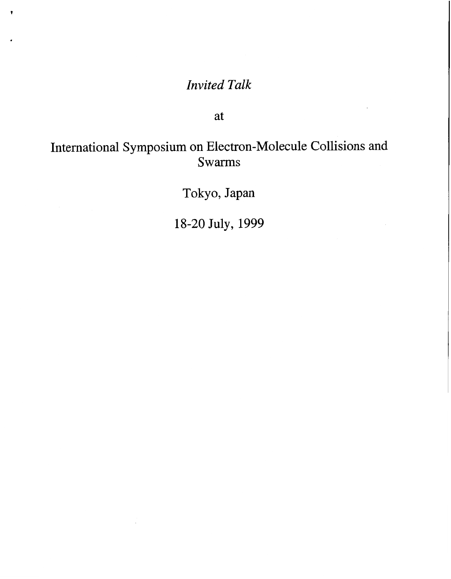## *Invited Talk*

÷

at

## International Symposium on Electron-Molecule Collisions and **Swarms**

Tokyo, Japan

18-20 July, 1999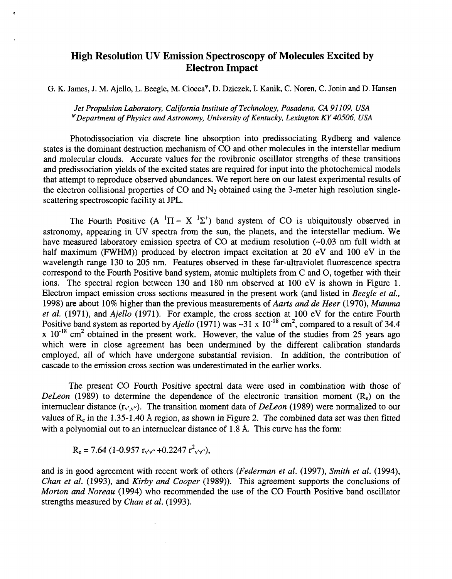## **High Resolution UV Emission Spectroscopy of Molecules Excited by Electron Impact**

G. **K.** James, J. M. Ajello, L. Beegle, M. Ciocca'", D. Dziczek, I. Kanik, C. Noren, C. Jonin and **D.** Hansen

*Jet Propulsion Laboratory, California Institute of Technology, Pasadena, CA 91 109, USA 'Department of Physics and Astronomy, University of Kentucky, Lexington KY40506, USA* 

Photodissociation via discrete line absorption into predissociating Rydberg and valence states is the dominant destruction mechanism of CO and other molecules in the interstellar medium and molecular clouds. Accurate values for the rovibronic oscillator strengths of these transitions and predissociation yields of the excited states are required for input into the photochemical models that attempt to reproduce observed abundances. We report here on our latest experimental results of the electron collisional properties of CO and  $N_2$  obtained using the 3-meter high resolution singlescattering spectroscopic facility at *JPL.* 

The Fourth Positive  $(A^{-1}\Pi - X^{-1}\Sigma^+)$  band system of CO is ubiquitously observed in astronomy, appearing in *UV* spectra from the sun, the planets, and the interstellar medium. 'We have measured laboratory emission spectra of CO at medium resolution (~0.03 nm full width at half maximum (FWHM)) produced by electron impact excitation at 20 eV and 100 eV in the wavelength range 130 to 205 nm. Features observed in these far-ultraviolet fluorescence spectra correspond to the Fourth Positive band system, atomic multiplets from C and 0, together with their ions. The spectral region between 130 and 180 nm observed at 100 eV is shown in F[igure 1.](#page-2-0) Electron impact emission cross sections measured in the present work (and listed in *Beegle et al.,*  1998) are about 10% higher than the previous measurements of *Aarts and de Heer* (1970), *Mumma et al.* (1971), and *Ajello* (1971). For example, the cross section at 100 eV for the entire Fourth Positive band system as reported by *Ajello* (1971) was ~31 x 10<sup>-18</sup> cm<sup>2</sup>, compared to a result of 34.4  $x$  10<sup>-18</sup> cm<sup>2</sup> obtained in the present work. However, the value of the studies from 25 years ago which were in close agreement has been undermined by the different calibration standards employed, all of which have undergone substantial revision. In addition, the contribution of cascade to the emission cross section was underestimated in the earlier works.

The present CO Fourth Positive spectral data were used in combination with those of *DeLeon* (1989) to determine the dependence of the electronic transition moment  $(R_e)$  on the internuclear distance (r<sub>v'v'</sub>). The transition moment data of *DeLeon* (1989) were normalized to our values of Re in the 1.35-1.40 **A** region, as shown in Figure 2. The combined data set was then fitted with a polynomial out to an internuclear distance of 1.8 **A.** This curve has the form:

$$
R_e = 7.64 (1 - 0.957 r_{v'v''} + 0.2247 r_{v'v''}^2),
$$

and is in good agreement with recent work of others *(Fedeman et al.* (1997), *Smith et al.* (1994), *Chan et al.* (1993), and *Kirby and Cooper* (1989)). This agreement supports the conclusions of *Morton and Noreau* (1994) who recommended the use of the CO Fourth Positive band oscillator strengths measured by *Chan et al.* (1993).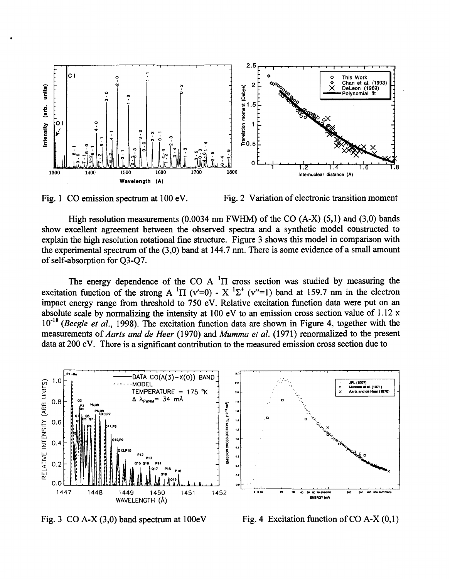



High resolution measurements **(0.0034** nm FWHM) of the CO **(A-X) (5,l)** and **(3,O)** bands show excellent agreement between the observed spectra and a synthetic model constructed to explain the high resolution rotational fine structure. Figure **3** shows this model in comparison with the experimental spectrum of the **(3,O)** band at **144.7** nm. There is some evidence of a small amount of self-absorption for Q3-Q7.

The energy dependence of the CO A  $\text{H}$  cross section was studied by measuring the excitation function of the strong A  $^1\Pi$  (v'=0) - X  $^1\Sigma^+$  (v''=1) band at 159.7 nm in the electron impact energy range from threshold to **750** eV. Relative excitation function data were put on an absolute scale by normalizing the intensity at **100** eV to an emission cross section value of **1.12** x **10"'** *(Beegle et al.,* **1998).** The excitation function data are shown in Figure **4,** together with the measurements of *Aarts and de Heer* **(1970)** and *Mumma et al.* **(1 971)** renormalized to the present data at 200 eV. There is a significant contribution to the measured emission cross section due to



<span id="page-2-0"></span>.

Fig.  $3 \text{ CO A-X } (3,0)$  band spectrum at  $100 \text{eV}$  Fig. 4 Excitation function of CO A-X $(0,1)$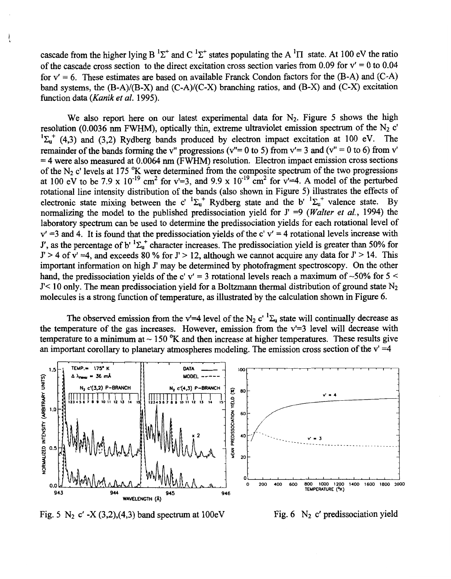cascade from the higher lying B  ${}^{1}\Sigma^{+}$  and C  ${}^{1}\Sigma^{+}$  states populating the A  ${}^{1}\Pi$  state. At 100 eV the ratio of the cascade cross section to the direct excitation cross section varies from 0.09 for  $v' = 0$  to 0.04 for  $v' = 6$ . These estimates are based on available Franck Condon factors for the  $(B-A)$  and  $(C-A)$ band systems, the (B-A)/(B-X) and (C-A)/(C-X) branching ratios, and (B-X) and (C-X) excitation function data *(Kanik et al.* 1995).

Ţ

We also report here on our latest experimental data for N<sub>2</sub>. Figure 5 shows the high resolution (0.0036 nm FWHM), optically thin, extreme ultraviolet emission spectrum of the  $N_2$  c'  $\Sigma_{u}^{+}$  (4,3) and (3,2) Rydberg bands produced by electron impact excitation at 100 eV. The  $\overline{a}$ remainder of the bands forming the v'' progressions ( $v''= 0$  to 5) from  $v' = 3$  and ( $v'' = 0$  to 6) from v' = 4 were also measured at 0.0064 nm (FWHM) resolution. Electron impact emission cross sections of the N<sub>2</sub> c' levels at 175 <sup>o</sup>K were determined from the composite spectrum of the two progressions at 100 eV to be 7.9 x  $10^{-19}$  cm<sup>2</sup> for v'=3, and 9.9 x  $10^{-19}$  cm<sup>2</sup> for v'=4. A model of the perturbed rotational line intensity distribution of the bands (also shown in Figure 5) illustrates the effects of electronic state mixing between the c'  ${}^{1}\Sigma_{u}^{+}$  Rydberg state and the b'  ${}^{1}\Sigma_{u}^{+}$  valence state. By normalizing the model to the published predissociation yield for J' =9 *(Walter et al.,* 1994) the laboratory spectrum can be used to determine the predissociation yields for each rotational level of  $v' = 3$  and 4. It is found that the predissociation yields of the c' v' = 4 rotational levels increase with J', as the percentage of b'  ${}^{1}\Sigma_{0}$ <sup>+</sup> character increases. The predissociation yield is greater than 50% for  $J' > 4$  of v' =4, and exceeds 80 % for  $J' > 12$ , although we cannot acquire any data for  $J' > 14$ . This important information on high J' may be determined by photofragment spectroscopy. On the other hand, the predissociation yields of the c' v' = 3 rotational levels reach a maximum of  $\sim$  50% for 5  $\le$ J'< 10 only. The mean predissociation yield for a Boltzmann thermal distribution of ground state N<sub>2</sub> molecules is a strong function of temperature, as illustrated by the calculation shown in Figure *6.* 

The observed emission from the v'=4 level of the N<sub>2</sub> c'  ${}^{1}\Sigma_{u}$  state will continually decrease as the temperature of the gas increases. However, emission from the v'=3 level will decrease with temperature to a minimum at  $\sim 150$  <sup>o</sup>K and then increase at higher temperatures. These results give an important corollary to planetary atmospheres modeling. The emission cross section of the  $v' = 4$ 



Fig. 5  $N_2$  c' -X (3,2),(4,3) band spectrum at 100eV Fig. 6  $N_2$  c' predissociation yield